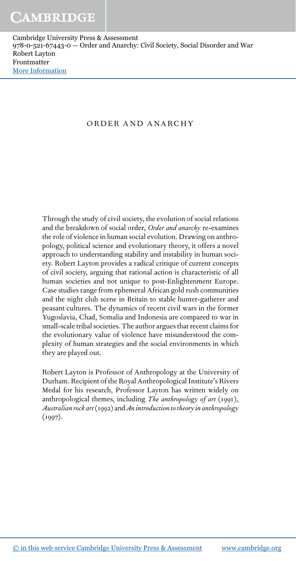#### ORDER AND ANARCHY

Through the study of civil society, the evolution of social relations and the breakdown of social order, *Order and anarchy* re-examines the role of violence in human social evolution. Drawing on anthropology, political science and evolutionary theory, it offers a novel approach to understanding stability and instability in human society. Robert Layton provides a radical critique of current concepts of civil society, arguing that rational action is characteristic of all human societies and not unique to post-Enlightenment Europe. Case studies range from ephemeral African gold rush communities and the night club scene in Britain to stable hunter-gatherer and peasant cultures. The dynamics of recent civil wars in the former Yugoslavia, Chad, Somalia and Indonesia are compared to war in small-scale tribal societies. The author argues that recent claims for the evolutionary value of violence have misunderstood the complexity of human strategies and the social environments in which they are played out.

Robert Layton is Professor of Anthropology at the University of Durham. Recipient of the Royal Anthropological Institute's Rivers Medal for his research, Professor Layton has written widely on anthropological themes, including *The anthropology of art* (1991), *Australian rock art*(1992) and*An introduction to theory in anthropology* (1997).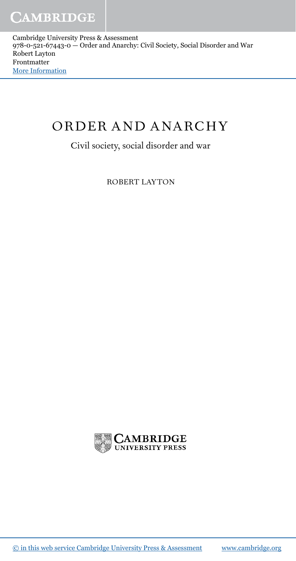# ORDER AND ANARCHY

Civil society, social disorder and war

ROBERT LAYTON

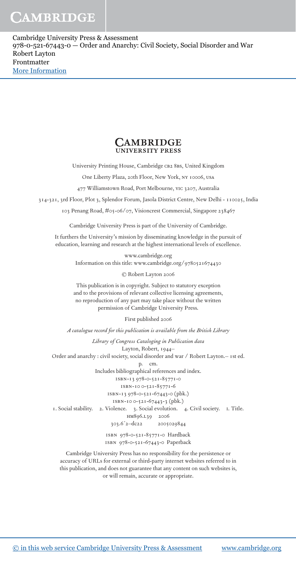#### **CAMBRIDGE UNIVERSITY PRESS**

University Printing House, Cambridge CB2 8BS, United Kingdom

One Liberty Plaza, 20th Floor, New York, ny 10006, usa

477 Williamstown Road, Port Melbourne, vic 3207, Australia

314-321, 3rd Floor, Plot 3, Splendor Forum, Jasola District Centre, New Delhi - 110025, India

103 Penang Road, #05-06/07, Visioncrest Commercial, Singapore 238467

Cambridge University Press is part of the University of Cambridge.

It furthers the University's mission by disseminating knowledge in the pursuit of education, learning and research at the highest international levels of excellence.

www.cambridge.org

Information on this title: www.cambridge.org/9780521674430

© Robert Layton 2006

This publication is in copyright. Subject to statutory exception and to the provisions of relevant collective licensing agreements, no reproduction of any part may take place without the written permission of Cambridge University Press.

First published 2006

*A catalogue record for this publication is available from the British Library*

*Library of Congress Cataloging in Publication data* Layton, Robert, 1944– Order and anarchy : civil society, social disorder and war / Robert Layton.– 1st ed. p. cm. Includes bibliographical references and index. isbn-13 978-0-521-85771-0 isbn-10 0-521-85771-6 isbn-13 978-0-521-67443-0 (pbk.) isbn-10 0-521-67443-3 (pbk.) 1. Social stability. 2. Violence. 3. Social evolution. 4. Civil society. i. Title. HM896.L39 2006<br>303.6<sup>2</sup>2-dc22 20050 2005029844 isbn 978-0-521-85771-0 Hardback isbn 978-0-521-67443-0 Paperback

Cambridge University Press has no responsibility for the persistence or accuracy of URLs for external or third-party internet websites referred to in this publication, and does not guarantee that any content on such websites is, or will remain, accurate or appropriate.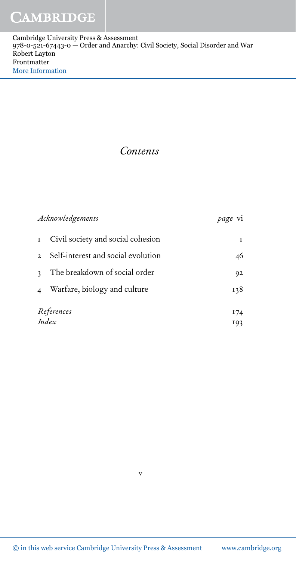### *Contents*

| Acknowledgements        |                                    | <i>page</i> vi |
|-------------------------|------------------------------------|----------------|
| ${\bf I}$               | Civil society and social cohesion  |                |
| $\mathfrak{D}$          | Self-interest and social evolution | 46             |
| $\mathbf{c}$            | The breakdown of social order      | 92             |
| $\overline{\mathbf{4}}$ | Warfare, biology and culture       | 138            |
| References              |                                    | 174            |
| Index                   |                                    | 193            |